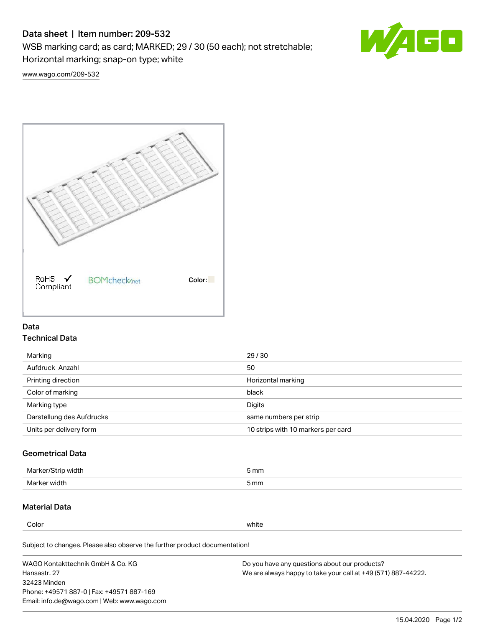# Data sheet | Item number: 209-532

WSB marking card; as card; MARKED; 29 / 30 (50 each); not stretchable;

Horizontal marking; snap-on type; white



[www.wago.com/209-532](http://www.wago.com/209-532)



## Data Technical Data

| Marking                   | 29/30                              |
|---------------------------|------------------------------------|
| Aufdruck Anzahl           | 50                                 |
| Printing direction        | Horizontal marking                 |
| Color of marking          | black                              |
| Marking type              | Digits                             |
| Darstellung des Aufdrucks | same numbers per strip             |
| Units per delivery form   | 10 strips with 10 markers per card |

# Geometrical Data

| <b>Marker</b><br>width | 5 mm |
|------------------------|------|
| Marker width           | 5 mm |

## Material Data

Color white

Subject to changes. Please also observe the further product documentation!

WAGO Kontakttechnik GmbH & Co. KG Hansastr. 27 32423 Minden Phone: +49571 887-0 | Fax: +49571 887-169 Email: info.de@wago.com | Web: www.wago.com Do you have any questions about our products? We are always happy to take your call at +49 (571) 887-44222.